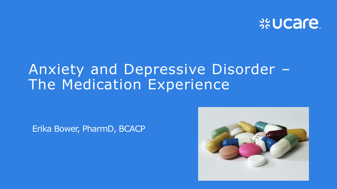

#### Anxiety and Depressive Disorder – The Medication Experience

Erika Bower, PharmD, BCACP

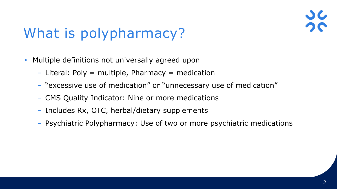# What is polypharmacy?

- Multiple definitions not universally agreed upon
	- $-$  Literal: Poly  $=$  multiple, Pharmacy  $=$  medication
	- "excessive use of medication" or "unnecessary use of medication"
	- CMS Quality Indicator: Nine or more medications
	- Includes Rx, OTC, herbal/dietary supplements
	- Psychiatric Polypharmacy: Use of two or more psychiatric medications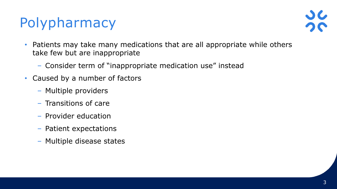# Polypharmacy



- Patients may take many medications that are all appropriate while others take few but are inappropriate
	- Consider term of "inappropriate medication use" instead
- Caused by a number of factors
	- Multiple providers
	- Transitions of care
	- Provider education
	- Patient expectations
	- Multiple disease states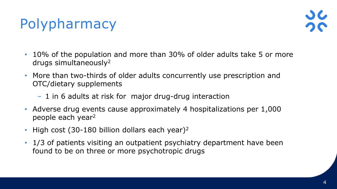# Polypharmacy



- 10% of the population and more than 30% of older adults take 5 or more drugs simultaneously<sup>2</sup>
- More than two-thirds of older adults concurrently use prescription and OTC/dietary supplements
	- 1 in 6 adults at risk for major drug-drug interaction
- Adverse drug events cause approximately 4 hospitalizations per 1,000 people each year<sup>2</sup>
- High cost  $(30-180)$  billion dollars each year)<sup>2</sup>
- 1/3 of patients visiting an outpatient psychiatry department have been found to be on three or more psychotropic drugs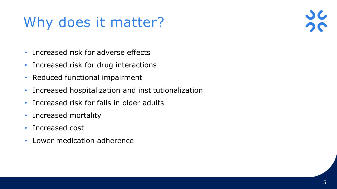# Why does it matter?

- Increased risk for adverse effects
- Increased risk for drug interactions
- Reduced functional impairment
- Increased hospitalization and institutionalization
- Increased risk for falls in older adults
- Increased mortality
- Increased cost
- Lower medication adherence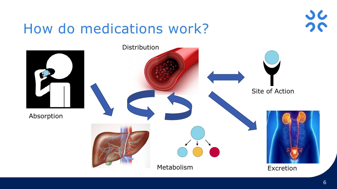#### How do medications work?



 $\overline{\mathcal{L}}$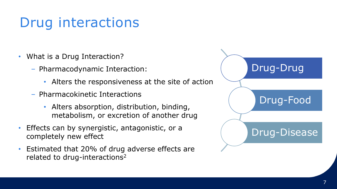- What is a Drug Interaction?
	- Pharmacodynamic Interaction:
		- Alters the responsiveness at the site of action
	- Pharmacokinetic Interactions
		- Alters absorption, distribution, binding, metabolism, or excretion of another drug
- Effects can by synergistic, antagonistic, or a completely new effect
- Estimated that 20% of drug adverse effects are related to drug-interactions<sup>2</sup>

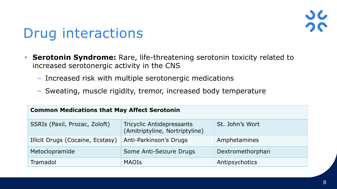- **Serotonin Syndrome:** Rare, life-threatening serotonin toxicity related to increased serotonergic activity in the CNS
	- Increased risk with multiple serotonergic medications
	- Sweating, muscle rigidity, tremor, increased body temperature

| <b>Common Medications that May Affect Serotonin</b> |                                                                    |                  |  |  |  |
|-----------------------------------------------------|--------------------------------------------------------------------|------------------|--|--|--|
| SSRIs (Paxil, Prozac, Zoloft)                       | <b>Tricyclic Antidepressants</b><br>(Amitriptyline, Nortriptyline) | St. John's Wort  |  |  |  |
| Illicit Drugs (Cocaine, Ecstasy)                    | Anti-Parkinson's Drugs                                             | Amphetamines     |  |  |  |
| Metoclopramide                                      | Some Anti-Seizure Drugs                                            | Dextromethorphan |  |  |  |
| Tramadol                                            | <b>MAOIS</b>                                                       | Antipsychotics   |  |  |  |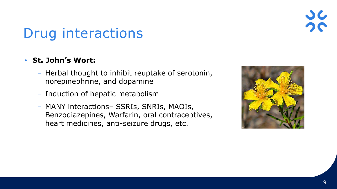#### • **St. John's Wort:**

- Herbal thought to inhibit reuptake of serotonin, norepinephrine, and dopamine
- Induction of hepatic metabolism
- MANY interactions– SSRIs, SNRIs, MAOIs, Benzodiazepines, Warfarin, oral contraceptives, heart medicines, anti-seizure drugs, etc.

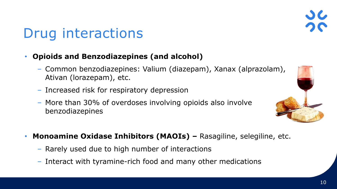#### 10

### Drug interactions

#### • **Opioids and Benzodiazepines (and alcohol)**

- Common benzodiazepines: Valium (diazepam), Xanax (alprazolam), Ativan (lorazepam), etc.
- Increased risk for respiratory depression
- More than 30% of overdoses involving opioids also involve benzodiazepines
- **Monoamine Oxidase Inhibitors (MAOIs) –** Rasagiline, selegiline, etc.
	- Rarely used due to high number of interactions
	- Interact with tyramine-rich food and many other medications

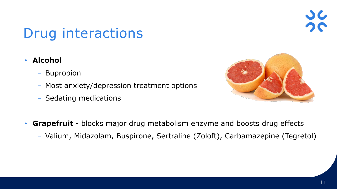- **Alcohol**
	- Bupropion
	- Most anxiety/depression treatment options
	- Sedating medications



- **Grapefruit**  blocks major drug metabolism enzyme and boosts drug effects
	- Valium, Midazolam, Buspirone, Sertraline (Zoloft), Carbamazepine (Tegretol)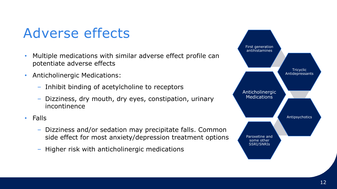#### Adverse effects

- Multiple medications with similar adverse effect profile can potentiate adverse effects
- Anticholinergic Medications:
	- Inhibit binding of acetylcholine to receptors
	- Dizziness, dry mouth, dry eyes, constipation, urinary incontinence
- Falls
	- Dizziness and/or sedation may precipitate falls. Common side effect for most anxiety/depression treatment options
	- Higher risk with anticholinergic medications

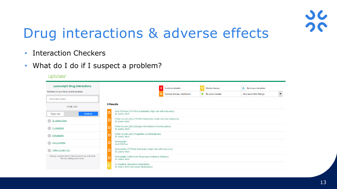

### Drug interactions & adverse effects

- Interaction Checkers
- What do I do if I suspect a problem?

| <b>Lexicomp® Drug Interactions</b>                                                     |                                                                                   | Avoid combination             | Monitor therapy    | A No known interaction  |
|----------------------------------------------------------------------------------------|-----------------------------------------------------------------------------------|-------------------------------|--------------------|-------------------------|
| Add items to your list by searching below.                                             |                                                                                   | Consider therapy modification | B No action needed | More about Risk Ratings |
| Enter item name                                                                        |                                                                                   |                               |                    |                         |
| <b>ITEM LIST</b>                                                                       | 8 Results                                                                         |                               |                    |                         |
| Analyze<br><b>Clear List</b>                                                           | AmLODIPine (CYP3A4 Substrates (High risk with Inducers))<br>St John's Wort        |                               |                    |                         |
| St John's Wort                                                                         | Ortho-Cyclen (28) (CYP3A4 Substrates (High risk with Inducers))<br>St John's Wort |                               |                    |                         |
| FLUoxetine                                                                             | Ortho-Cyclen (28) (Estrogen Derivatives (Contraceptive))<br>St John's Wort        |                               |                    |                         |
| Simvastatin                                                                            | Ortho-Cyclen (28) (Progestins (Contraceptive))<br>St John's Wort                  |                               |                    |                         |
| <b>AmLODIPine</b>                                                                      | Simvastatin<br>AmLODIPine                                                         |                               |                    |                         |
| Ortho-Cyclen (28)                                                                      | Simvastatin (CYP3A4 Substrates (High risk with Inducers))<br>St John's Wort       |                               |                    |                         |
| Display complete list of interactions for an individual<br>item by clicking item name. | Simvastatin (HMG-CoA Reductase Inhibitors (Statins))<br>St John's Wort            |                               |                    |                         |
|                                                                                        | FLUoxetine (Serotonin Modulators)<br>St John's Wort (Serotonin Modulators)        |                               |                    |                         |

UpToDate®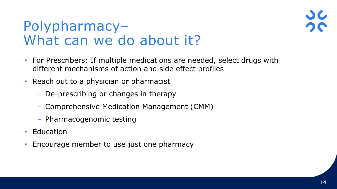

#### Polypharmacy– What can we do about it?

- For Prescribers: If multiple medications are needed, select drugs with different mechanisms of action and side effect profiles
- Reach out to a physician or pharmacist
	- De-prescribing or changes in therapy
	- Comprehensive Medication Management (CMM)
	- Pharmacogenomic testing
- Education
- Encourage member to use just one pharmacy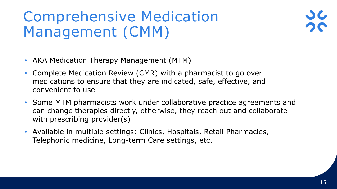# Comprehensive Medication Management (CMM)

- AKA Medication Therapy Management (MTM)
- Complete Medication Review (CMR) with a pharmacist to go over medications to ensure that they are indicated, safe, effective, and convenient to use
- Some MTM pharmacists work under collaborative practice agreements and can change therapies directly, otherwise, they reach out and collaborate with prescribing provider(s)
- Available in multiple settings: Clinics, Hospitals, Retail Pharmacies, Telephonic medicine, Long-term Care settings, etc.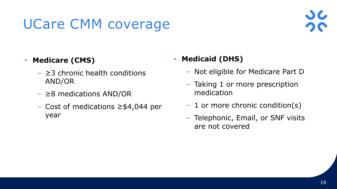# UCare CMM coverage

#### • **Medicare (CMS)**

- $\geq$  3 chronic health conditions AND/OR
- $\geq$ 8 medications AND/OR
- Cost of medications ≥\$4,044 per year

#### • **Medicaid (DHS)**

- Not eligible for Medicare Part D
- Taking 1 or more prescription medication
- 1 or more chronic condition(s)
- Telephonic, Email, or SNF visits are not covered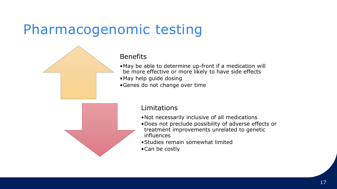#### Pharmacogenomic testing



#### **Benefits**

- •May be able to determine up-front if a medication will be more effective or more likely to have side effects
- •May help guide dosing
- •Genes do not change over time



#### Limitations

- •Not necessarily inclusive of all medications
- •Does not preclude possibility of adverse effects or treatment improvements unrelated to genetic influences
- •Studies remain somewhat limited
- •Can be costly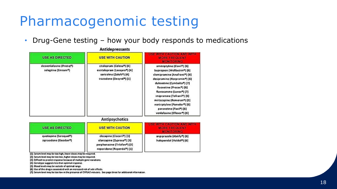#### Pharmacogenomic testing

• Drug-Gene testing – how your body responds to medications

|                                                                           | <b>Antigepressants</b>                                                                                                                                              |                                                                                                                                                                                                                                                                                                                                                                                                                                                                                |
|---------------------------------------------------------------------------|---------------------------------------------------------------------------------------------------------------------------------------------------------------------|--------------------------------------------------------------------------------------------------------------------------------------------------------------------------------------------------------------------------------------------------------------------------------------------------------------------------------------------------------------------------------------------------------------------------------------------------------------------------------|
| <b>USE AS DIRECTED</b>                                                    | <b>USE WITH CAUTION</b>                                                                                                                                             | <b>LISE WITH CALIFON AND WITH</b><br><b>MORE FREQUENT</b><br><b>MONITORING</b>                                                                                                                                                                                                                                                                                                                                                                                                 |
| desvenlafaxine (Pristige)<br>selegiline (Emsam <sup>e</sup> )             | citalopram (Celexa <sup>o</sup> ) [4]<br>escitalopram (Lexapro <sup>e</sup> ) [4]<br>sertraline (Zoloft <sup>e</sup> ) [4]<br>trazodone (Desyrel <sup>e</sup> ) [1] | amitriptyline (Elavile) [6]<br>bupropion (Wellbutrin <sup>e</sup> ) [6]<br>clomipramine (Anafranıl <sup>e</sup> ) [6]<br>desipramine (Norpramin <sup>e</sup> ) [6]<br>duloxetine (Cymbalta <sup>e</sup> ) [7]<br>fluoxetine (Prozac <sup>o</sup> ) [6]<br>fluvoxamine (Luvox®) [7]<br>imipramine (Tofranil <sup>e</sup> ) [6]<br>mirtazapine (Remeron <sup>e</sup> ) [3]<br>nortriptyline (Pamelor®) [6]<br>paroxetine (Paxil <sup>e</sup> ) [6]<br>venlafaxine (Effexor®) [6] |
|                                                                           | <b>Antipsychotics</b>                                                                                                                                               |                                                                                                                                                                                                                                                                                                                                                                                                                                                                                |
| <b>USE AS DIRECTED</b>                                                    | <b>USE WITH CAUTION</b>                                                                                                                                             | <b>WITH CAUTION AND WITH</b><br><b>MORE FREQUENT</b><br><b>MONITORING</b>                                                                                                                                                                                                                                                                                                                                                                                                      |
| quetiapine (Seroquel <sup>e</sup> )<br>ziprasidone (Geodon <sup>e</sup> ) | clozapine (Clozaril <sup>e</sup> ) [3]<br>olanzapine (Zyprexa®) [3]<br>perphenazine (Trilafon <sup>o</sup> ) [3]<br>risperidone (Risperdal <sup>e</sup> ) [1]       | aripiprazole (Abilify <sup>e</sup> ) [6]<br>haloperidol (Haldol <sup>o</sup> ) [6]                                                                                                                                                                                                                                                                                                                                                                                             |

#### Autidentecepts

[1]: Serum level may be too high, lower doses may be required.

[2]: Serum level may be too low, higher doses may be required.

[3]: Oifficult to predict response because of multiple gene variations.

[4]: Genotype suggests less than optimal response.

[5]: Blood levels may be outside of optimal range.

[6]: Use of this drug is associated with an increased risk of side effects.

[7]: Serum level may be too low in the presence of CYPIA2 inducers. See page three for additional information.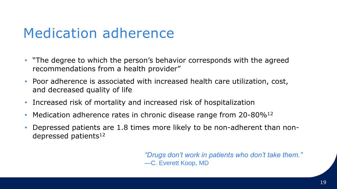#### Medication adherence

- "The degree to which the person's behavior corresponds with the agreed recommendations from a health provider"
- Poor adherence is associated with increased health care utilization, cost, and decreased quality of life
- Increased risk of mortality and increased risk of hospitalization
- Medication adherence rates in chronic disease range from  $20$ -80%<sup>12</sup>
- Depressed patients are 1.8 times more likely to be non-adherent than nondepressed patients $12$

*"Drugs don't work in patients who don't take them."* —C. Everett Koop, MD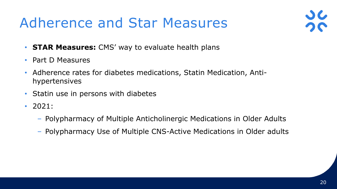### Adherence and Star Measures



- **STAR Measures:** CMS' way to evaluate health plans
- Part D Measures
- Adherence rates for diabetes medications, Statin Medication, Antihypertensives
- Statin use in persons with diabetes
- 2021:
	- Polypharmacy of Multiple Anticholinergic Medications in Older Adults
	- Polypharmacy Use of Multiple CNS-Active Medications in Older adults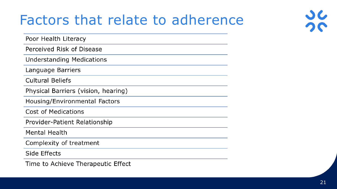#### Factors that relate to adherence

Poor Health Literacy

Perceived Risk of Disease

**Understanding Medications** 

Language Barriers

**Cultural Beliefs** 

Physical Barriers (vision, hearing)

Housing/Environmental Factors

Cost of Medications

Provider-Patient Relationship

**Mental Health** 

Complexity of treatment

Side Effects

Time to Achieve Therapeutic Effect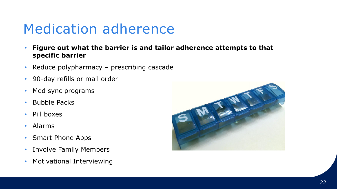#### Medication adherence

- **Figure out what the barrier is and tailor adherence attempts to that specific barrier**
- Reduce polypharmacy prescribing cascade
- 90-day refills or mail order
- Med sync programs
- Bubble Packs
- Pill boxes
- Alarms
- Smart Phone Apps
- Involve Family Members
- Motivational Interviewing

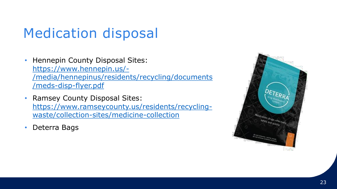#### Medication disposal

- Hennepin County Disposal Sites: https://www.hennepin.us/- [/media/hennepinus/residents/recycling/documents](https://www.hennepin.us/-/media/hennepinus/residents/recycling/documents/meds-disp-flyer.pdf) /meds-disp-flyer.pdf
- Ramsey County Disposal Sites: [https://www.ramseycounty.us/residents/recycling](https://www.ramseycounty.us/residents/recycling-waste/collection-sites/medicine-collection)waste/collection-sites/medicine-collection
- Deterra Bags